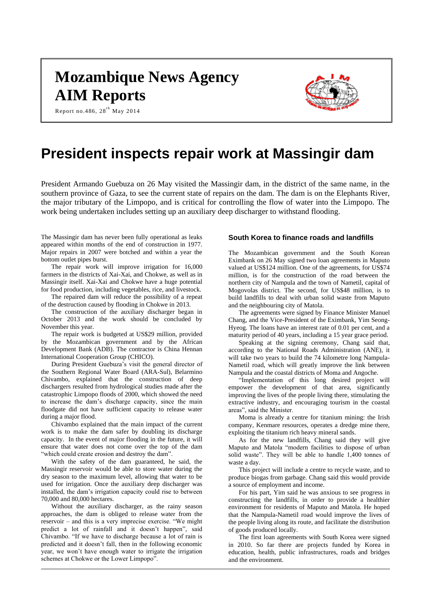# **Mozambique News Agency AIM Reports**

Report no.486,  $28^{th}$  May 2014



# **President inspects repair work at Massingir dam**

President Armando Guebuza on 26 May visited the Massingir dam, in the district of the same name, in the southern province of Gaza, to see the current state of repairs on the dam. The dam is on the Elephants River, the major tributary of the Limpopo, and is critical for controlling the flow of water into the Limpopo. The work being undertaken includes setting up an auxiliary deep discharger to withstand flooding.

The Massingir dam has never been fully operational as leaks appeared within months of the end of construction in 1977. Major repairs in 2007 were botched and within a year the bottom outlet pipes burst.

The repair work will improve irrigation for 16,000 farmers in the districts of Xai-Xai, and Chokwe, as well as in Massingir itself. Xai-Xai and Chokwe have a huge potential for food production, including vegetables, rice, and livestock.

The repaired dam will reduce the possibility of a repeat of the destruction caused by flooding in Chokwe in 2013.

The construction of the auxiliary discharger began in October 2013 and the work should be concluded by November this year.

The repair work is budgeted at US\$29 million, provided by the Mozambican government and by the African Development Bank (ADB). The contractor is China Hennan International Cooperation Group (CHICO).

During President Guebuza's visit the general director of the Southern Regional Water Board (ARA-Sul), Belarmino Chivambo, explained that the construction of deep dischargers resulted from hydrological studies made after the catastrophic Limpopo floods of 2000, which showed the need to increase the dam's discharge capacity, since the main floodgate did not have sufficient capacity to release water during a major flood.

Chivambo explained that the main impact of the current work is to make the dam safer by doubling its discharge capacity. In the event of major flooding in the future, it will ensure that water does not come over the top of the dam "which could create erosion and destroy the dam".

With the safety of the dam guaranteed, he said, the Massingir reservoir would be able to store water during the dry season to the maximum level, allowing that water to be used for irrigation. Once the auxiliary deep discharger was installed, the dam's irrigation capacity could rise to between 70,000 and 80,000 hectares.

Without the auxiliary discharger, as the rainy season approaches, the dam is obliged to release water from the reservoir – and this is a very imprecise exercise. "We might predict a lot of rainfall and it doesn't happen", said Chivambo. "If we have to discharge because a lot of rain is predicted and it doesn't fall, then in the following economic year, we won't have enough water to irrigate the irrigation schemes at Chokwe or the Lower Limpopo".

#### **South Korea to finance roads and landfills**

The Mozambican government and the South Korean Eximbank on 26 May signed two loan agreements in Maputo valued at US\$124 million. One of the agreements, for US\$74 million, is for the construction of the road between the northern city of Nampula and the town of Nametil, capital of Mogovolas district. The second, for US\$48 million, is to build landfills to deal with urban solid waste from Maputo and the neighbouring city of Matola.

The agreements were signed by Finance Minister Manuel Chang, and the Vice-President of the Eximbank, Yim Seong-Hyeog. The loans have an interest rate of 0.01 per cent, and a maturity period of 40 years, including a 15 year grace period.

Speaking at the signing ceremony, Chang said that, according to the National Roads Administration (ANE), it will take two years to build the 74 kilometre long Nampula-Nametil road, which will greatly improve the link between Nampula and the coastal districts of Moma and Angoche.

"Implementation of this long desired project will empower the development of that area, significantly improving the lives of the people living there, stimulating the extractive industry, and encouraging tourism in the coastal areas", said the Minister.

Moma is already a centre for titanium mining: the Irish company, Kenmare resources, operates a dredge mine there, exploiting the titanium rich heavy mineral sands.

As for the new landfills, Chang said they will give Maputo and Matola "modern facilities to dispose of urban solid waste". They will be able to handle 1,400 tonnes of waste a day.

This project will include a centre to recycle waste, and to produce biogas from garbage. Chang said this would provide a source of employment and income.

For his part, Yim said he was anxious to see progress in constructing the landfills, in order to provide a healthier environment for residents of Maputo and Matola. He hoped that the Nampula-Nametil road would improve the lives of the people living along its route, and facilitate the distribution of goods produced locally.

The first loan agreements with South Korea were signed in 2010. So far there are projects funded by Korea in education, health, public infrastructures, roads and bridges and the environment.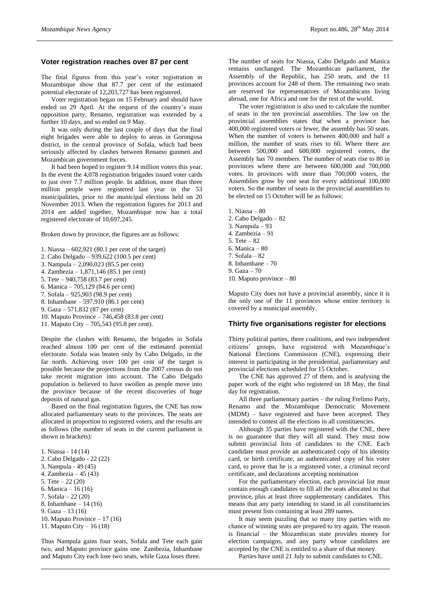#### **Voter registration reaches over 87 per cent**

The final figures from this year's voter registration in Mozambique show that 87.7 per cent of the estimated potential electorate of 12,203,727 has been registered.

Voter registration began on 15 February and should have ended on 29 April. At the request of the country's main opposition party, Renamo, registration was extended by a further 10 days, and so ended on 9 May.

It was only during the last couple of days that the final eight brigades were able to deploy to areas in Gorongosa district, in the central province of Sofala, which had been seriously affected by clashes between Renamo gunmen and Mozambican government forces.

It had been hoped to register 9.14 million voters this year. In the event the 4,078 registration brigades issued voter cards to just over 7.7 million people. In addition, more than three million people were registered last year in the 53 municipalities, prior to the municipal elections held on 20 November 2013. When the registration figures for 2013 and 2014 are added together, Mozambique now has a total registered electorate of 10,697,245.

Broken down by province, the figures are as follows:

- 1. Niassa 602,921 (80.1 per cent of the target)
- 2. Cabo Delgado 939,622 (100.5 per cent)
- 3. Nampula 2,090,023 (85.5 per cent)
- 4. Zambezia 1,871,146 (85.1 per cent)
- 5. Tete 940,758 (83.7 per cent)
- 6. Manica 705,129 (84.6 per cent)
- 7. Sofala 925,903 (98.9 per cent)
- 8. Inhambane 597,910 (86.1 per cent)
- 9. Gaza 571,832 (87 per cent)
- 10. Maputo Province 746,458 (83.8 per cent)
- 11. Maputo City 705,543 (95.8 per cent).

Despite the clashes with Renamo, the brigades in Sofala reached almost 100 per cent of the estimated potential electorate. Sofala was beaten only by Cabo Delgado, in the far north. Achieving over 100 per cent of the target is possible because the projections from the 2007 census do not take recent migration into account. The Cabo Delgado population is believed to have swollen as people move into the province because of the recent discoveries of huge deposits of natural gas.

Based on the final registration figures, the CNE has now allocated parliamentary seats to the provinces. The seats are allocated in proportion to registered voters, and the results are as follows (the number of seats in the current parliament is shown in brackets):

1. Niassa - 14 (14)

- 2. Cabo Delgado 22 (22)
- 3. Nampula 49 (45)
- 4. Zambezia 45 (43)
- 5. Tete  $-22(20)$
- 6. Manica 16 (16)
- 7. Sofala 22 (20)
- 8. Inhambane 14 (16)
- 9. Gaza 13 (16)
- 10. Maputo Province 17 (16)
- 11. Maputo City 16 (18)

Thus Nampula gains four seats, Sofala and Tete each gain two, and Maputo province gains one. Zambezia, Inhambane and Maputo City each lose two seats, while Gaza loses three.

The number of seats for Niassa, Cabo Delgado and Manica remains unchanged. The Mozambican parliament, the Assembly of the Republic, has 250 seats, and the 11 provinces account for 248 of them. The remaining two seats are reserved for representatives of Mozambicans living abroad, one for Africa and one for the rest of the world.

The voter registration is also used to calculate the number of seats in the ten provincial assemblies. The law on the provincial assemblies states that when a province has 400,000 registered voters or fewer, the assembly has 50 seats. When the number of voters is between 400,000 and half a million, the number of seats rises to 60. Where there are between 500,000 and 600,000 registered voters, the Assembly has 70 members. The number of seats rise to 80 in provinces where there are between 600,000 and 700,000 votes. In provinces with more than 700,000 voters, the Assemblies grow by one seat for every additional 100,000 voters. So the number of seats in the provincial assemblies to be elected on 15 October will be as follows:

- 1. Niassa 80
- 2. Cabo Delgado 82
- 3. Nampula 93
- 4. Zambezia 91
- 5. Tete 82
- 6. Manica 80
- 7. Sofala 82
- 8. Inhambane 70
- 9. Gaza 70
- 10. Maputo province 80

Maputo City does not have a provincial assembly, since it is the only one of the 11 provinces whose entire territory is covered by a municipal assembly.

#### **Thirty five organisations register for elections**

Thirty political parties, three coalitions, and two independent citizens' groups, have registered with Mozambique's National Elections Commission (CNE), expressing their interest in participating in the presidential, parliamentary and provincial elections scheduled for 15 October.

The CNE has approved 27 of them, and is analysing the paper work of the eight who registered on 18 May, the final day for registration.

All three parliamentary parties – the ruling Frelimo Party, Renamo and the Mozambique Democratic Movement (MDM) – have registered and have been accepted. They intended to contest all the elections in all constituencies.

Although 35 parties have registered with the CNE, there is no guarantee that they will all stand. They must now submit provincial lists of candidates to the CNE. Each candidate must provide an authenticated copy of his identity card, or birth certificate, an authenticated copy of his voter card, to prove that he is a registered voter, a criminal record certificate, and declarations accepting nomination

For the parliamentary election, each provincial list must contain enough candidates to fill all the seats allocated to that province, plus at least three supplementary candidates. This means that any party intending to stand in all constituencies must present lists containing at least 289 names.

It may seem puzzling that so many tiny parties with no chance of winning seats are prepared to try again. The reason is financial – the Mozambican state provides money for election campaigns, and any party whose candidates are accepted by the CNE is entitled to a share of that money.

Parties have until 21 July to submit candidates to CNE.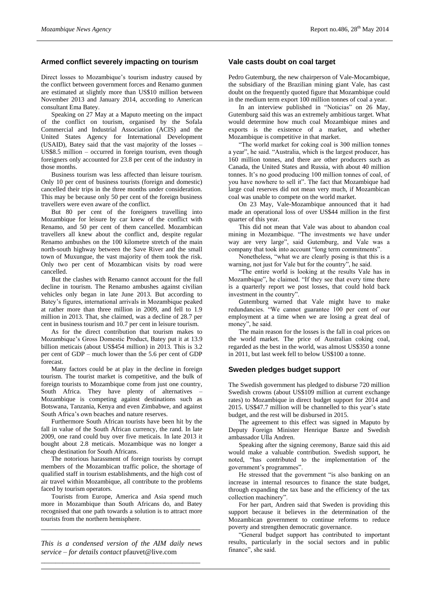## **Armed conflict severely impacting on tourism**

Direct losses to Mozambique's tourism industry caused by the conflict between government forces and Renamo gunmen are estimated at slightly more than US\$10 million between November 2013 and January 2014, according to American consultant Ema Batey.

Speaking on 27 May at a Maputo meeting on the impact of the conflict on tourism, organised by the Sofala Commercial and Industrial Association (ACIS) and the United States Agency for International Development (USAID), Batey said that the vast majority of the losses – US\$8.5 million – occurred in foreign tourism, even though foreigners only accounted for 23.8 per cent of the industry in those months.

Business tourism was less affected than leisure tourism. Only 10 per cent of business tourists (foreign and domestic) cancelled their trips in the three months under consideration. This may be because only 50 per cent of the foreign business travellers were even aware of the conflict.

But 80 per cent of the foreigners travelling into Mozambique for leisure by car knew of the conflict with Renamo, and 50 per cent of them cancelled. Mozambican travellers all knew about the conflict and, despite regular Renamo ambushes on the 100 kilometre stretch of the main north-south highway between the Save River and the small town of Muxungue, the vast majority of them took the risk. Only two per cent of Mozambican visits by road were cancelled.

But the clashes with Renamo cannot account for the full decline in tourism. The Renamo ambushes against civilian vehicles only began in late June 2013. But according to Batey's figures, international arrivals in Mozambique peaked at rather more than three million in 2009, and fell to 1.9 million in 2013. That, she claimed, was a decline of 28.7 per cent in business tourism and 10.7 per cent in leisure tourism.

As for the direct contribution that tourism makes to Mozambique's Gross Domestic Product, Batey put it at 13.9 billion meticais (about US\$454 million) in 2013. This is 3.2 per cent of GDP – much lower than the 5.6 per cent of GDP forecast.

Many factors could be at play in the decline in foreign tourism. The tourist market is competitive, and the bulk of foreign tourists to Mozambique come from just one country, South Africa. They have plenty of alternatives – Mozambique is competing against destinations such as Botswana, Tanzania, Kenya and even Zimbabwe, and against South Africa's own beaches and nature reserves.

Furthermore South African tourists have been hit by the fall in value of the South African currency, the rand. In late 2009, one rand could buy over five meticais. In late 2013 it bought about 2.8 meticais. Mozambique was no longer a cheap destination for South Africans.

The notorious harassment of foreign tourists by corrupt members of the Mozambican traffic police, the shortage of qualified staff in tourism establishments, and the high cost of air travel within Mozambique, all contribute to the problems faced by tourism operators.

Tourists from Europe, America and Asia spend much more in Mozambique than South Africans do, and Batey recognised that one path towards a solution is to attract more tourists from the northern hemisphere.

*\_\_\_\_\_\_\_\_\_\_\_\_\_\_\_\_\_\_\_\_\_\_\_\_\_\_\_\_\_\_\_\_\_\_\_\_\_\_\_\_\_\_\_\_*

*This is a condensed version of the AIM daily news service – for details contact* pfauvet@live.com *\_\_\_\_\_\_\_\_\_\_\_\_\_\_\_\_\_\_\_\_\_\_\_\_\_\_\_\_\_\_\_\_\_\_\_\_\_\_\_\_\_\_\_\_*

### **Vale casts doubt on coal target**

Pedro Gutemburg, the new chairperson of Vale-Mocambique, the subsidiary of the Brazilian mining giant Vale, has cast doubt on the frequently quoted figure that Mozambique could in the medium term export 100 million tonnes of coal a year.

In an interview published in "Noticias" on 26 May, Gutemburg said this was an extremely ambitious target. What would determine how much coal Mozambique mines and exports is the existence of a market, and whether Mozambique is competitive in that market.

"The world market for coking coal is 300 million tonnes a year", he said. "Australia, which is the largest producer, has 160 million tonnes, and there are other producers such as Canada, the United States and Russia, with about 40 million tonnes. It's no good producing 100 million tonnes of coal, of you have nowhere to sell it". The fact that Mozambique had large coal reserves did not mean very much, if Mozambican coal was unable to compete on the world market.

On 23 May, Vale-Mozambique announced that it had made an operational loss of over US\$44 million in the first quarter of this year.

This did not mean that Vale was about to abandon coal mining in Mozambique. "The investments we have under way are very large", said Gutemburg, and Vale was a company that took into account "long term commitments".

Nonetheless, "what we are clearly posing is that this is a warning, not just for Vale but for the country", he said.

"The entire world is looking at the results Vale has in Mozambique", he claimed. "If they see that every time there is a quarterly report we post losses, that could hold back investment in the country".

Gutemburg warned that Vale might have to make redundancies. "We cannot guarantee 100 per cent of our employment at a time when we are losing a great deal of money", he said.

The main reason for the losses is the fall in coal prices on the world market. The price of Australian coking coal, regarded as the best in the world, was almost US\$350 a tonne in 2011, but last week fell to below US\$100 a tonne.

# **Sweden pledges budget support**

The Swedish government has pledged to disburse 720 million Swedish crowns (about US\$109 million at current exchange rates) to Mozambique in direct budget support for 2014 and 2015. US\$47.7 million will be channelled to this year's state budget, and the rest will be disbursed in 2015.

The agreement to this effect was signed in Maputo by Deputy Foreign Minister Henrique Banze and Swedish ambassador Ulla Andren.

Speaking after the signing ceremony, Banze said this aid would make a valuable contribution. Swedish support, he noted, "has contributed to the implementation of the government's programmes".

He stressed that the government "is also banking on an increase in internal resources to finance the state budget, through expanding the tax base and the efficiency of the tax collection machinery".

For her part, Andren said that Sweden is providing this support because it believes in the determination of the Mozambican government to continue reforms to reduce poverty and strengthen democratic governance.

"General budget support has contributed to important results, particularly in the social sectors and in public finance", she said.